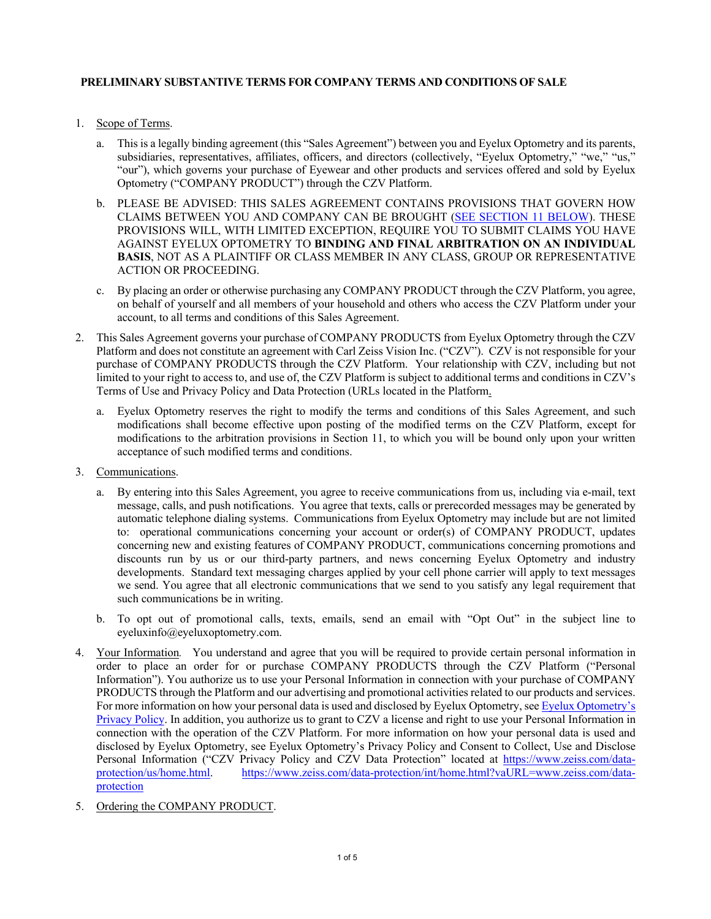## **PRELIMINARY SUBSTANTIVE TERMS FOR COMPANY TERMS AND CONDITIONS OF SALE**

- 1. Scope of Terms.
	- a. This is a legally binding agreement (this "Sales Agreement") between you and Eyelux Optometry and its parents, subsidiaries, representatives, affiliates, officers, and directors (collectively, "Eyelux Optometry," "we," "us," "our"), which governs your purchase of Eyewear and other products and services offered and sold by Eyelux Optometry ("COMPANY PRODUCT") through the CZV Platform.
	- b. PLEASE BE ADVISED: THIS SALES AGREEMENT CONTAINS PROVISIONS THAT GOVERN HOW CLAIMS BETWEEN YOU AND COMPANY CAN BE BROUGHT (SEE SECTION 11 BELOW). THESE PROVISIONS WILL, WITH LIMITED EXCEPTION, REQUIRE YOU TO SUBMIT CLAIMS YOU HAVE AGAINST EYELUX OPTOMETRY TO **BINDING AND FINAL ARBITRATION ON AN INDIVIDUAL BASIS**, NOT AS A PLAINTIFF OR CLASS MEMBER IN ANY CLASS, GROUP OR REPRESENTATIVE ACTION OR PROCEEDING.
	- c. By placing an order or otherwise purchasing any COMPANY PRODUCT through the CZV Platform, you agree, on behalf of yourself and all members of your household and others who access the CZV Platform under your account, to all terms and conditions of this Sales Agreement.
- 2. This Sales Agreement governs your purchase of COMPANY PRODUCTS from Eyelux Optometry through the CZV Platform and does not constitute an agreement with Carl Zeiss Vision Inc. ("CZV"). CZV is not responsible for your purchase of COMPANY PRODUCTS through the CZV Platform. Your relationship with CZV, including but not limited to your right to access to, and use of, the CZV Platform is subject to additional terms and conditions in CZV's Terms of Use and Privacy Policy and Data Protection (URLs located in the Platform.
	- a. Eyelux Optometry reserves the right to modify the terms and conditions of this Sales Agreement, and such modifications shall become effective upon posting of the modified terms on the CZV Platform, except for modifications to the arbitration provisions in Section 11, to which you will be bound only upon your written acceptance of such modified terms and conditions.
- 3. Communications.
	- a. By entering into this Sales Agreement, you agree to receive communications from us, including via e-mail, text message, calls, and push notifications. You agree that texts, calls or prerecorded messages may be generated by automatic telephone dialing systems. Communications from Eyelux Optometry may include but are not limited to: operational communications concerning your account or order(s) of COMPANY PRODUCT, updates concerning new and existing features of COMPANY PRODUCT, communications concerning promotions and discounts run by us or our third-party partners, and news concerning Eyelux Optometry and industry developments. Standard text messaging charges applied by your cell phone carrier will apply to text messages we send. You agree that all electronic communications that we send to you satisfy any legal requirement that such communications be in writing.
	- b. To opt out of promotional calls, texts, emails, send an email with "Opt Out" in the subject line to eyeluxinfo@eyeluxoptometry.com.
- 4. Your Information*.* You understand and agree that you will be required to provide certain personal information in order to place an order for or purchase COMPANY PRODUCTS through the CZV Platform ("Personal Information"). You authorize us to use your Personal Information in connection with your purchase of COMPANY PRODUCTS through the Platform and our advertising and promotional activities related to our products and services. For more information on how your personal data is used and disclosed by Eyelux Optometry, see Eyelux Optometry's Privacy Policy. In addition, you authorize us to grant to CZV a license and right to use your Personal Information in connection with the operation of the CZV Platform. For more information on how your personal data is used and disclosed by Eyelux Optometry, see Eyelux Optometry's Privacy Policy and Consent to Collect, Use and Disclose Personal Information ("CZV Privacy Policy and CZV Data Protection" located at https://www.zeiss.com/dataprotection/us/home.html. https://www.zeiss.com/data-protection/int/home.html?vaURL=www.zeiss.com/dataprotection
- 5. Ordering the COMPANY PRODUCT.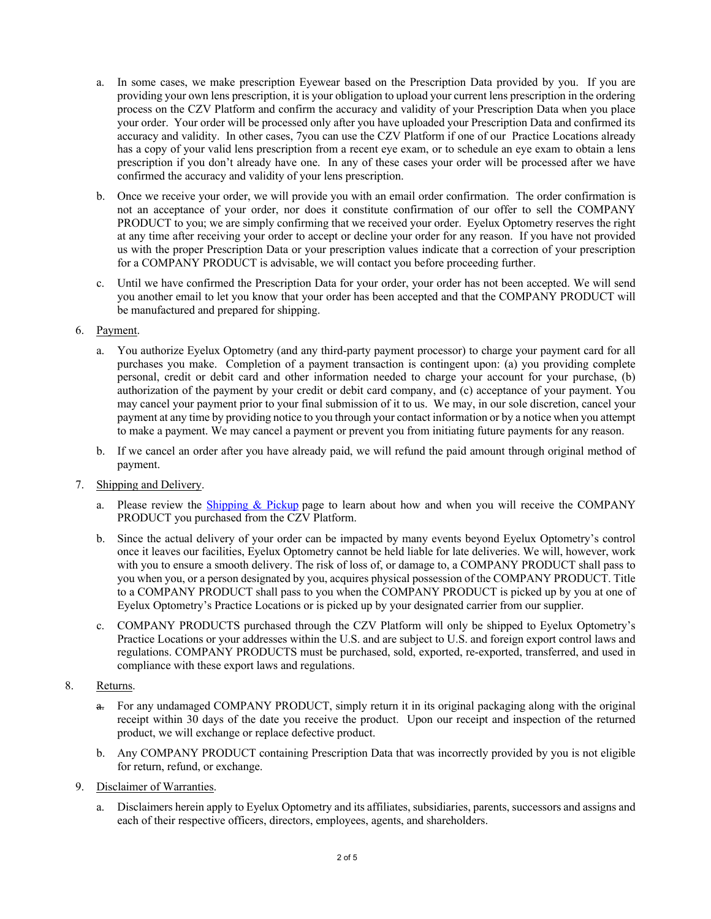- a. In some cases, we make prescription Eyewear based on the Prescription Data provided by you. If you are providing your own lens prescription, it is your obligation to upload your current lens prescription in the ordering process on the CZV Platform and confirm the accuracy and validity of your Prescription Data when you place your order. Your order will be processed only after you have uploaded your Prescription Data and confirmed its accuracy and validity. In other cases, 7you can use the CZV Platform if one of our Practice Locations already has a copy of your valid lens prescription from a recent eye exam, or to schedule an eye exam to obtain a lens prescription if you don't already have one. In any of these cases your order will be processed after we have confirmed the accuracy and validity of your lens prescription.
- b. Once we receive your order, we will provide you with an email order confirmation. The order confirmation is not an acceptance of your order, nor does it constitute confirmation of our offer to sell the COMPANY PRODUCT to you; we are simply confirming that we received your order. Eyelux Optometry reserves the right at any time after receiving your order to accept or decline your order for any reason. If you have not provided us with the proper Prescription Data or your prescription values indicate that a correction of your prescription for a COMPANY PRODUCT is advisable, we will contact you before proceeding further.
- c. Until we have confirmed the Prescription Data for your order, your order has not been accepted. We will send you another email to let you know that your order has been accepted and that the COMPANY PRODUCT will be manufactured and prepared for shipping.

## 6. Payment.

- a. You authorize Eyelux Optometry (and any third-party payment processor) to charge your payment card for all purchases you make. Completion of a payment transaction is contingent upon: (a) you providing complete personal, credit or debit card and other information needed to charge your account for your purchase, (b) authorization of the payment by your credit or debit card company, and (c) acceptance of your payment. You may cancel your payment prior to your final submission of it to us. We may, in our sole discretion, cancel your payment at any time by providing notice to you through your contact information or by a notice when you attempt to make a payment. We may cancel a payment or prevent you from initiating future payments for any reason.
- b. If we cancel an order after you have already paid, we will refund the paid amount through original method of payment.
- 7. Shipping and Delivery.
	- a. Please review the  $Shipping \& Pickup page$  to learn about how and when you will receive the COMPANY PRODUCT you purchased from the CZV Platform.
	- b. Since the actual delivery of your order can be impacted by many events beyond Eyelux Optometry's control once it leaves our facilities, Eyelux Optometry cannot be held liable for late deliveries. We will, however, work with you to ensure a smooth delivery. The risk of loss of, or damage to, a COMPANY PRODUCT shall pass to you when you, or a person designated by you, acquires physical possession of the COMPANY PRODUCT. Title to a COMPANY PRODUCT shall pass to you when the COMPANY PRODUCT is picked up by you at one of Eyelux Optometry's Practice Locations or is picked up by your designated carrier from our supplier.
	- c. COMPANY PRODUCTS purchased through the CZV Platform will only be shipped to Eyelux Optometry's Practice Locations or your addresses within the U.S. and are subject to U.S. and foreign export control laws and regulations. COMPANY PRODUCTS must be purchased, sold, exported, re-exported, transferred, and used in compliance with these export laws and regulations.
- 8. Returns.
	- a. For any undamaged COMPANY PRODUCT, simply return it in its original packaging along with the original receipt within 30 days of the date you receive the product. Upon our receipt and inspection of the returned product, we will exchange or replace defective product.
	- b. Any COMPANY PRODUCT containing Prescription Data that was incorrectly provided by you is not eligible for return, refund, or exchange.
	- 9. Disclaimer of Warranties.
		- a. Disclaimers herein apply to Eyelux Optometry and its affiliates, subsidiaries, parents, successors and assigns and each of their respective officers, directors, employees, agents, and shareholders.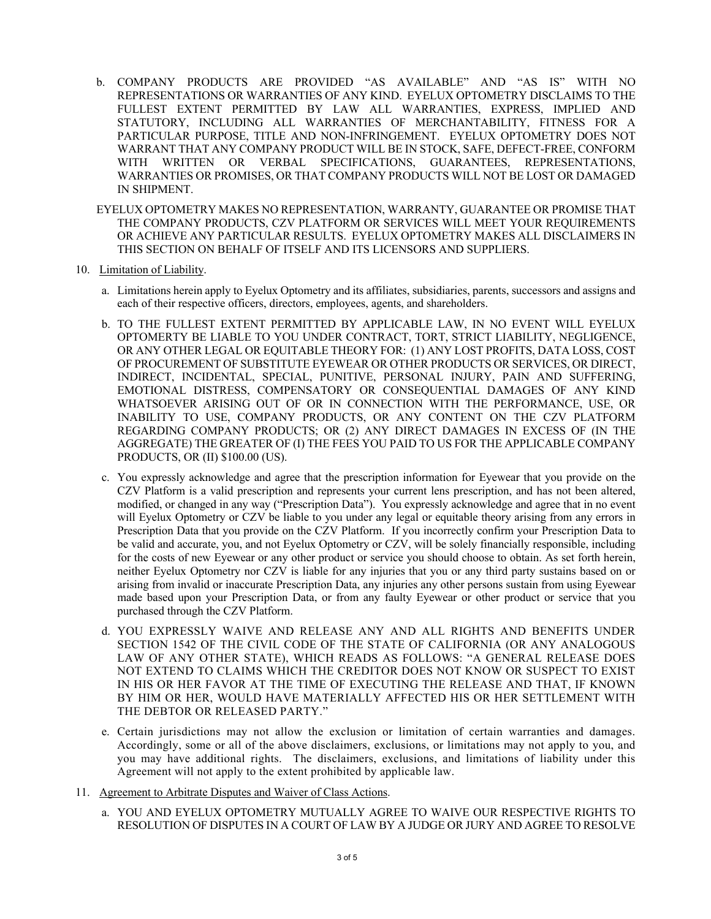- b. COMPANY PRODUCTS ARE PROVIDED "AS AVAILABLE" AND "AS IS" WITH NO REPRESENTATIONS OR WARRANTIES OF ANY KIND. EYELUX OPTOMETRY DISCLAIMS TO THE FULLEST EXTENT PERMITTED BY LAW ALL WARRANTIES, EXPRESS, IMPLIED AND STATUTORY, INCLUDING ALL WARRANTIES OF MERCHANTABILITY, FITNESS FOR A PARTICULAR PURPOSE, TITLE AND NON-INFRINGEMENT. EYELUX OPTOMETRY DOES NOT WARRANT THAT ANY COMPANY PRODUCT WILL BE IN STOCK, SAFE, DEFECT-FREE, CONFORM WITH WRITTEN OR VERBAL SPECIFICATIONS, GUARANTEES, REPRESENTATIONS, WARRANTIES OR PROMISES, OR THAT COMPANY PRODUCTS WILL NOT BE LOST OR DAMAGED IN SHIPMENT.
- EYELUX OPTOMETRY MAKES NO REPRESENTATION, WARRANTY, GUARANTEE OR PROMISE THAT THE COMPANY PRODUCTS, CZV PLATFORM OR SERVICES WILL MEET YOUR REQUIREMENTS OR ACHIEVE ANY PARTICULAR RESULTS. EYELUX OPTOMETRY MAKES ALL DISCLAIMERS IN THIS SECTION ON BEHALF OF ITSELF AND ITS LICENSORS AND SUPPLIERS.

## 10. Limitation of Liability.

- a. Limitations herein apply to Eyelux Optometry and its affiliates, subsidiaries, parents, successors and assigns and each of their respective officers, directors, employees, agents, and shareholders.
- b. TO THE FULLEST EXTENT PERMITTED BY APPLICABLE LAW, IN NO EVENT WILL EYELUX OPTOMERTY BE LIABLE TO YOU UNDER CONTRACT, TORT, STRICT LIABILITY, NEGLIGENCE, OR ANY OTHER LEGAL OR EQUITABLE THEORY FOR: (1) ANY LOST PROFITS, DATA LOSS, COST OF PROCUREMENT OF SUBSTITUTE EYEWEAR OR OTHER PRODUCTS OR SERVICES, OR DIRECT, INDIRECT, INCIDENTAL, SPECIAL, PUNITIVE, PERSONAL INJURY, PAIN AND SUFFERING, EMOTIONAL DISTRESS, COMPENSATORY OR CONSEQUENTIAL DAMAGES OF ANY KIND WHATSOEVER ARISING OUT OF OR IN CONNECTION WITH THE PERFORMANCE, USE, OR INABILITY TO USE, COMPANY PRODUCTS, OR ANY CONTENT ON THE CZV PLATFORM REGARDING COMPANY PRODUCTS; OR (2) ANY DIRECT DAMAGES IN EXCESS OF (IN THE AGGREGATE) THE GREATER OF (I) THE FEES YOU PAID TO US FOR THE APPLICABLE COMPANY PRODUCTS, OR (II) \$100.00 (US).
- c. You expressly acknowledge and agree that the prescription information for Eyewear that you provide on the CZV Platform is a valid prescription and represents your current lens prescription, and has not been altered, modified, or changed in any way ("Prescription Data"). You expressly acknowledge and agree that in no event will Eyelux Optometry or CZV be liable to you under any legal or equitable theory arising from any errors in Prescription Data that you provide on the CZV Platform. If you incorrectly confirm your Prescription Data to be valid and accurate, you, and not Eyelux Optometry or CZV, will be solely financially responsible, including for the costs of new Eyewear or any other product or service you should choose to obtain. As set forth herein, neither Eyelux Optometry nor CZV is liable for any injuries that you or any third party sustains based on or arising from invalid or inaccurate Prescription Data, any injuries any other persons sustain from using Eyewear made based upon your Prescription Data, or from any faulty Eyewear or other product or service that you purchased through the CZV Platform.
- d. YOU EXPRESSLY WAIVE AND RELEASE ANY AND ALL RIGHTS AND BENEFITS UNDER SECTION 1542 OF THE CIVIL CODE OF THE STATE OF CALIFORNIA (OR ANY ANALOGOUS LAW OF ANY OTHER STATE), WHICH READS AS FOLLOWS: "A GENERAL RELEASE DOES NOT EXTEND TO CLAIMS WHICH THE CREDITOR DOES NOT KNOW OR SUSPECT TO EXIST IN HIS OR HER FAVOR AT THE TIME OF EXECUTING THE RELEASE AND THAT, IF KNOWN BY HIM OR HER, WOULD HAVE MATERIALLY AFFECTED HIS OR HER SETTLEMENT WITH THE DEBTOR OR RELEASED PARTY."
- e. Certain jurisdictions may not allow the exclusion or limitation of certain warranties and damages. Accordingly, some or all of the above disclaimers, exclusions, or limitations may not apply to you, and you may have additional rights. The disclaimers, exclusions, and limitations of liability under this Agreement will not apply to the extent prohibited by applicable law.
- 11. Agreement to Arbitrate Disputes and Waiver of Class Actions.
	- a. YOU AND EYELUX OPTOMETRY MUTUALLY AGREE TO WAIVE OUR RESPECTIVE RIGHTS TO RESOLUTION OF DISPUTES IN A COURT OF LAW BY A JUDGE OR JURY AND AGREE TO RESOLVE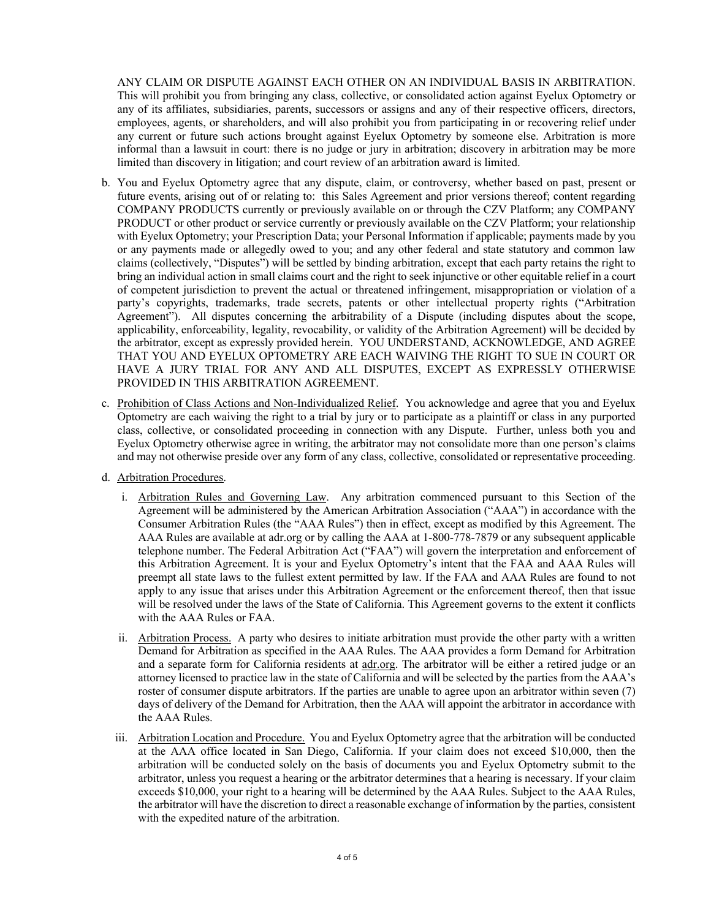ANY CLAIM OR DISPUTE AGAINST EACH OTHER ON AN INDIVIDUAL BASIS IN ARBITRATION. This will prohibit you from bringing any class, collective, or consolidated action against Eyelux Optometry or any of its affiliates, subsidiaries, parents, successors or assigns and any of their respective officers, directors, employees, agents, or shareholders, and will also prohibit you from participating in or recovering relief under any current or future such actions brought against Eyelux Optometry by someone else. Arbitration is more informal than a lawsuit in court: there is no judge or jury in arbitration; discovery in arbitration may be more limited than discovery in litigation; and court review of an arbitration award is limited.

- b. You and Eyelux Optometry agree that any dispute, claim, or controversy, whether based on past, present or future events, arising out of or relating to: this Sales Agreement and prior versions thereof; content regarding COMPANY PRODUCTS currently or previously available on or through the CZV Platform; any COMPANY PRODUCT or other product or service currently or previously available on the CZV Platform; your relationship with Eyelux Optometry; your Prescription Data; your Personal Information if applicable; payments made by you or any payments made or allegedly owed to you; and any other federal and state statutory and common law claims (collectively, "Disputes") will be settled by binding arbitration, except that each party retains the right to bring an individual action in small claims court and the right to seek injunctive or other equitable relief in a court of competent jurisdiction to prevent the actual or threatened infringement, misappropriation or violation of a party's copyrights, trademarks, trade secrets, patents or other intellectual property rights ("Arbitration Agreement"). All disputes concerning the arbitrability of a Dispute (including disputes about the scope, applicability, enforceability, legality, revocability, or validity of the Arbitration Agreement) will be decided by the arbitrator, except as expressly provided herein. YOU UNDERSTAND, ACKNOWLEDGE, AND AGREE THAT YOU AND EYELUX OPTOMETRY ARE EACH WAIVING THE RIGHT TO SUE IN COURT OR HAVE A JURY TRIAL FOR ANY AND ALL DISPUTES, EXCEPT AS EXPRESSLY OTHERWISE PROVIDED IN THIS ARBITRATION AGREEMENT.
- c. Prohibition of Class Actions and Non-Individualized Relief. You acknowledge and agree that you and Eyelux Optometry are each waiving the right to a trial by jury or to participate as a plaintiff or class in any purported class, collective, or consolidated proceeding in connection with any Dispute. Further, unless both you and Eyelux Optometry otherwise agree in writing, the arbitrator may not consolidate more than one person's claims and may not otherwise preside over any form of any class, collective, consolidated or representative proceeding.
- d. Arbitration Procedures.
	- i. Arbitration Rules and Governing Law. Any arbitration commenced pursuant to this Section of the Agreement will be administered by the American Arbitration Association ("AAA") in accordance with the Consumer Arbitration Rules (the "AAA Rules") then in effect, except as modified by this Agreement. The AAA Rules are available at adr.org or by calling the AAA at 1-800-778-7879 or any subsequent applicable telephone number. The Federal Arbitration Act ("FAA") will govern the interpretation and enforcement of this Arbitration Agreement. It is your and Eyelux Optometry's intent that the FAA and AAA Rules will preempt all state laws to the fullest extent permitted by law. If the FAA and AAA Rules are found to not apply to any issue that arises under this Arbitration Agreement or the enforcement thereof, then that issue will be resolved under the laws of the State of California. This Agreement governs to the extent it conflicts with the AAA Rules or FAA.
	- ii. Arbitration Process. A party who desires to initiate arbitration must provide the other party with a written Demand for Arbitration as specified in the AAA Rules. The AAA provides a form Demand for Arbitration and a separate form for California residents at adr.org. The arbitrator will be either a retired judge or an attorney licensed to practice law in the state of California and will be selected by the parties from the AAA's roster of consumer dispute arbitrators. If the parties are unable to agree upon an arbitrator within seven (7) days of delivery of the Demand for Arbitration, then the AAA will appoint the arbitrator in accordance with the AAA Rules.
	- iii. Arbitration Location and Procedure. You and Eyelux Optometry agree that the arbitration will be conducted at the AAA office located in San Diego, California. If your claim does not exceed \$10,000, then the arbitration will be conducted solely on the basis of documents you and Eyelux Optometry submit to the arbitrator, unless you request a hearing or the arbitrator determines that a hearing is necessary. If your claim exceeds \$10,000, your right to a hearing will be determined by the AAA Rules. Subject to the AAA Rules, the arbitrator will have the discretion to direct a reasonable exchange of information by the parties, consistent with the expedited nature of the arbitration.